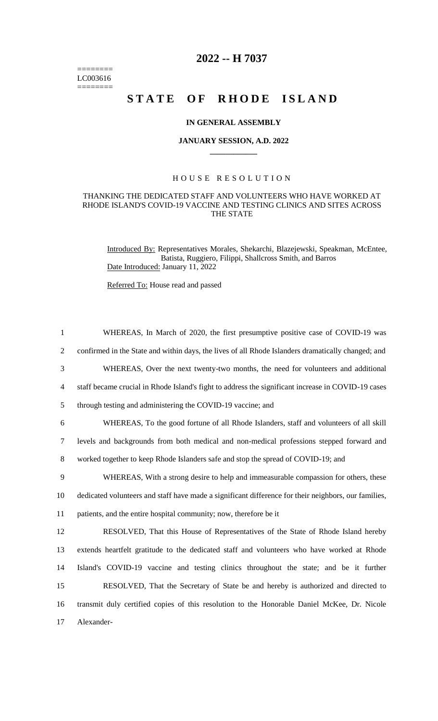======== LC003616  $=$ 

## **2022 -- H 7037**

# **STATE OF RHODE ISLAND**

#### **IN GENERAL ASSEMBLY**

#### **JANUARY SESSION, A.D. 2022 \_\_\_\_\_\_\_\_\_\_\_\_**

### H O U S E R E S O L U T I O N

#### THANKING THE DEDICATED STAFF AND VOLUNTEERS WHO HAVE WORKED AT RHODE ISLAND'S COVID-19 VACCINE AND TESTING CLINICS AND SITES ACROSS THE STATE

Introduced By: Representatives Morales, Shekarchi, Blazejewski, Speakman, McEntee, Batista, Ruggiero, Filippi, Shallcross Smith, and Barros Date Introduced: January 11, 2022

Referred To: House read and passed

| $\mathbf{1}$   | WHEREAS, In March of 2020, the first presumptive positive case of COVID-19 was                       |
|----------------|------------------------------------------------------------------------------------------------------|
| $\overline{2}$ | confirmed in the State and within days, the lives of all Rhode Islanders dramatically changed; and   |
| 3              | WHEREAS, Over the next twenty-two months, the need for volunteers and additional                     |
| $\overline{4}$ | staff became crucial in Rhode Island's fight to address the significant increase in COVID-19 cases   |
| 5              | through testing and administering the COVID-19 vaccine; and                                          |
| 6              | WHEREAS, To the good fortune of all Rhode Islanders, staff and volunteers of all skill               |
| $\tau$         | levels and backgrounds from both medical and non-medical professions stepped forward and             |
| 8              | worked together to keep Rhode Islanders safe and stop the spread of COVID-19; and                    |
| 9              | WHEREAS, With a strong desire to help and immeasurable compassion for others, these                  |
| 10             | dedicated volunteers and staff have made a significant difference for their neighbors, our families, |
| 11             | patients, and the entire hospital community; now, therefore be it                                    |
| 12             | RESOLVED, That this House of Representatives of the State of Rhode Island hereby                     |
| 13             | extends heartfelt gratitude to the dedicated staff and volunteers who have worked at Rhode           |
| 14             | Island's COVID-19 vaccine and testing clinics throughout the state; and be it further                |
| 15             | RESOLVED, That the Secretary of State be and hereby is authorized and directed to                    |
| 16             | transmit duly certified copies of this resolution to the Honorable Daniel McKee, Dr. Nicole          |
| 17             | Alexander-                                                                                           |